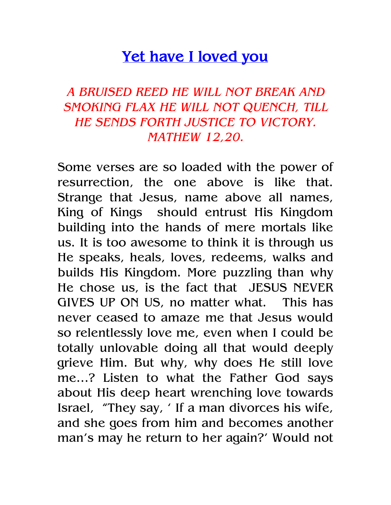## Yet have I loved you

## A BRUISED REED HE WILL NOT BREAK AND SMOKING FLAX HE WILL NOT QUENCH, TILL HE SENDS FORTH JUSTICE TO VICTORY. MATHEW 12,20.

Some verses are so loaded with the power of resurrection, the one above is like that. Strange that Jesus, name above all names, King of Kings should entrust His Kingdom building into the hands of mere mortals like us. It is too awesome to think it is through us He speaks, heals, loves, redeems, walks and builds His Kingdom. More puzzling than why He chose us, is the fact that JESUS NEVER GIVES UP ON US, no matter what. This has never ceased to amaze me that Jesus would so relentlessly love me, even when I could be totally unlovable doing all that would deeply grieve Him. But why, why does He still love me…? Listen to what the Father God says about His deep heart wrenching love towards Israel, "They say, ' If a man divorces his wife, and she goes from him and becomes another man's may he return to her again?' Would not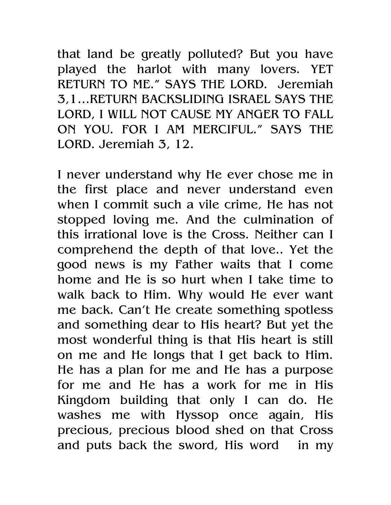that land be greatly polluted? But you have played the harlot with many lovers. YET RETURN TO ME." SAYS THE LORD. Jeremiah 3,1…RETURN BACKSLIDING ISRAEL SAYS THE LORD, I WILL NOT CAUSE MY ANGER TO FALL ON YOU. FOR I AM MERCIFUL." SAYS THE LORD. Jeremiah 3, 12.

I never understand why He ever chose me in the first place and never understand even when I commit such a vile crime, He has not stopped loving me. And the culmination of this irrational love is the Cross. Neither can I comprehend the depth of that love.. Yet the good news is my Father waits that I come home and He is so hurt when I take time to walk back to Him. Why would He ever want me back. Can't He create something spotless and something dear to His heart? But yet the most wonderful thing is that His heart is still on me and He longs that I get back to Him. He has a plan for me and He has a purpose for me and He has a work for me in His Kingdom building that only I can do. He washes me with Hyssop once again, His precious, precious blood shed on that Cross and puts back the sword, His word in my